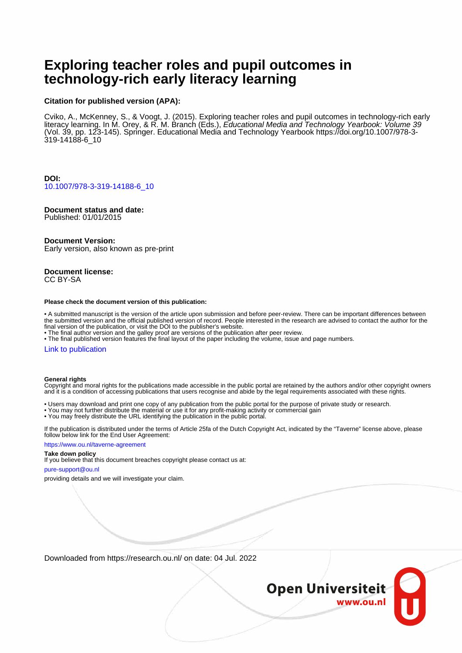# **Exploring teacher roles and pupil outcomes in technology-rich early literacy learning**

#### **Citation for published version (APA):**

Cviko, A., McKenney, S., & Voogt, J. (2015). Exploring teacher roles and pupil outcomes in technology-rich early literacy learning. In M. Orey, & R. M. Branch (Eds.), Educational Media and Technology Yearbook: Volume 39 (Vol. 39, pp. 123-145). Springer. Educational Media and Technology Yearbook [https://doi.org/10.1007/978-3-](https://doi.org/10.1007/978-3-319-14188-6_10) [319-14188-6\\_10](https://doi.org/10.1007/978-3-319-14188-6_10)

**DOI:** [10.1007/978-3-319-14188-6\\_10](https://doi.org/10.1007/978-3-319-14188-6_10)

#### **Document status and date:**

Published: 01/01/2015

#### **Document Version:**

Early version, also known as pre-print

#### **Document license:** CC BY-SA

#### **Please check the document version of this publication:**

• A submitted manuscript is the version of the article upon submission and before peer-review. There can be important differences between the submitted version and the official published version of record. People interested in the research are advised to contact the author for the final version of the publication, or visit the DOI to the publisher's website.

• The final author version and the galley proof are versions of the publication after peer review.

• The final published version features the final layout of the paper including the volume, issue and page numbers.

#### [Link to publication](https://research.ou.nl/en/publications/797334b7-40c3-4a04-813d-ba151bb379a3)

#### **General rights**

Copyright and moral rights for the publications made accessible in the public portal are retained by the authors and/or other copyright owners and it is a condition of accessing publications that users recognise and abide by the legal requirements associated with these rights.

- Users may download and print one copy of any publication from the public portal for the purpose of private study or research.
- You may not further distribute the material or use it for any profit-making activity or commercial gain
- You may freely distribute the URL identifying the publication in the public portal.

If the publication is distributed under the terms of Article 25fa of the Dutch Copyright Act, indicated by the "Taverne" license above, please follow below link for the End User Agreement:

#### https://www.ou.nl/taverne-agreement

#### **Take down policy**

If you believe that this document breaches copyright please contact us at:

#### pure-support@ou.nl

providing details and we will investigate your claim.

Downloaded from https://research.ou.nl/ on date: 04 Jul. 2022

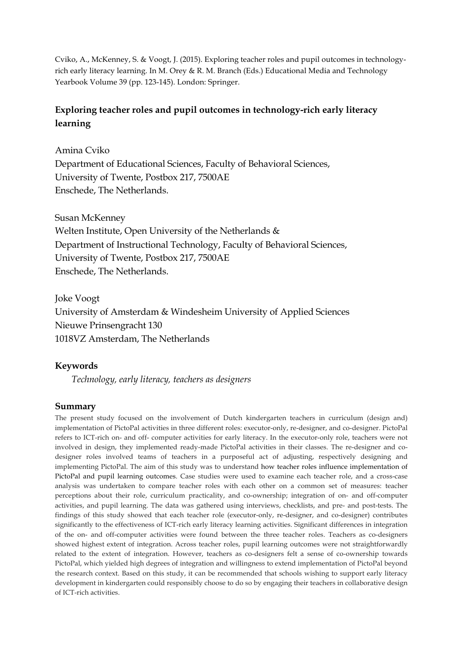Cviko, A., McKenney, S. & Voogt, J. (2015). Exploring teacher roles and pupil outcomes in technologyrich early literacy learning. In M. Orey & R. M. Branch (Eds.) Educational Media and Technology Yearbook Volume 39 (pp. 123-145). London: Springer.

# **Exploring teacher roles and pupil outcomes in technology-rich early literacy learning**

Amina Cviko

Department of Educational Sciences, Faculty of Behavioral Sciences, University of Twente, Postbox 217, 7500AE Enschede, The Netherlands.

Susan McKenney Welten Institute, Open University of the Netherlands & Department of Instructional Technology, Faculty of Behavioral Sciences, University of Twente, Postbox 217, 7500AE Enschede, The Netherlands.

Joke Voogt University of Amsterdam & Windesheim University of Applied Sciences Nieuwe Prinsengracht 130 1018VZ Amsterdam, The Netherlands

### **Keywords**

*Technology, early literacy, teachers as designers*

#### **Summary**

The present study focused on the involvement of Dutch kindergarten teachers in curriculum (design and) implementation of PictoPal activities in three different roles: executor-only, re-designer, and co-designer. PictoPal refers to ICT-rich on- and off- computer activities for early literacy. In the executor-only role, teachers were not involved in design, they implemented ready-made PictoPal activities in their classes. The re-designer and codesigner roles involved teams of teachers in a purposeful act of adjusting, respectively designing and implementing PictoPal. The aim of this study was to understand how teacher roles influence implementation of PictoPal and pupil learning outcomes. Case studies were used to examine each teacher role, and a cross-case analysis was undertaken to compare teacher roles with each other on a common set of measures: teacher perceptions about their role, curriculum practicality, and co-ownership; integration of on- and off-computer activities, and pupil learning. The data was gathered using interviews, checklists, and pre- and post-tests. The findings of this study showed that each teacher role (executor-only, re-designer, and co-designer) contributes significantly to the effectiveness of ICT-rich early literacy learning activities. Significant differences in integration of the on- and off-computer activities were found between the three teacher roles. Teachers as co-designers showed highest extent of integration. Across teacher roles, pupil learning outcomes were not straightforwardly related to the extent of integration. However, teachers as co-designers felt a sense of co-ownership towards PictoPal, which yielded high degrees of integration and willingness to extend implementation of PictoPal beyond the research context. Based on this study, it can be recommended that schools wishing to support early literacy development in kindergarten could responsibly choose to do so by engaging their teachers in collaborative design of ICT-rich activities.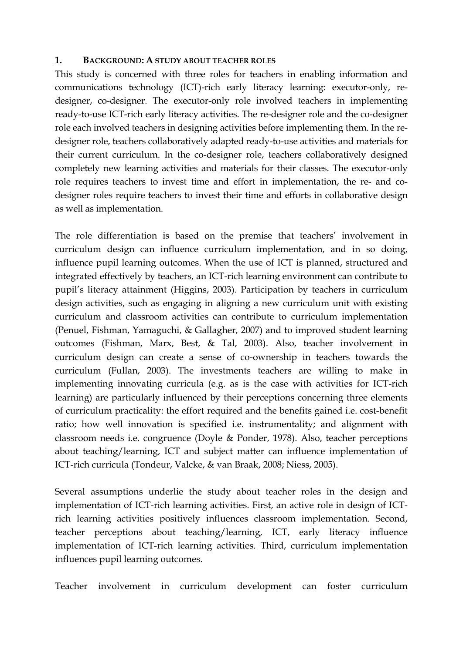### **1. BACKGROUND: A STUDY ABOUT TEACHER ROLES**

This study is concerned with three roles for teachers in enabling information and communications technology (ICT)-rich early literacy learning: executor-only, redesigner, co-designer. The executor-only role involved teachers in implementing ready-to-use ICT-rich early literacy activities. The re-designer role and the co-designer role each involved teachers in designing activities before implementing them. In the redesigner role, teachers collaboratively adapted ready-to-use activities and materials for their current curriculum. In the co-designer role, teachers collaboratively designed completely new learning activities and materials for their classes. The executor-only role requires teachers to invest time and effort in implementation, the re- and codesigner roles require teachers to invest their time and efforts in collaborative design as well as implementation.

The role differentiation is based on the premise that teachers' involvement in curriculum design can influence curriculum implementation, and in so doing, influence pupil learning outcomes. When the use of ICT is planned, structured and integrated effectively by teachers, an ICT-rich learning environment can contribute to pupil's literacy attainment (Higgins, 2003). Participation by teachers in curriculum design activities, such as engaging in aligning a new curriculum unit with existing curriculum and classroom activities can contribute to curriculum implementation (Penuel, Fishman, Yamaguchi, & Gallagher, 2007) and to improved student learning outcomes (Fishman, Marx, Best, & Tal, 2003). Also, teacher involvement in curriculum design can create a sense of co-ownership in teachers towards the curriculum (Fullan, 2003). The investments teachers are willing to make in implementing innovating curricula (e.g. as is the case with activities for ICT-rich learning) are particularly influenced by their perceptions concerning three elements of curriculum practicality: the effort required and the benefits gained i.e. cost-benefit ratio; how well innovation is specified i.e. instrumentality; and alignment with classroom needs i.e. congruence (Doyle & Ponder, 1978). Also, teacher perceptions about teaching/learning, ICT and subject matter can influence implementation of ICT-rich curricula (Tondeur, Valcke, & van Braak, 2008; Niess, 2005).

Several assumptions underlie the study about teacher roles in the design and implementation of ICT-rich learning activities. First, an active role in design of ICTrich learning activities positively influences classroom implementation. Second, teacher perceptions about teaching/learning, ICT, early literacy influence implementation of ICT-rich learning activities. Third, curriculum implementation influences pupil learning outcomes.

Teacher involvement in curriculum development can foster curriculum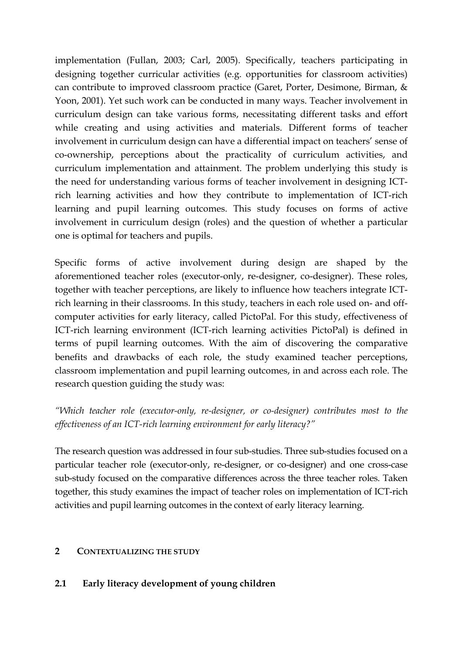implementation (Fullan, 2003; Carl, 2005). Specifically, teachers participating in designing together curricular activities (e.g. opportunities for classroom activities) can contribute to improved classroom practice (Garet, Porter, Desimone, Birman, & Yoon, 2001). Yet such work can be conducted in many ways. Teacher involvement in curriculum design can take various forms, necessitating different tasks and effort while creating and using activities and materials. Different forms of teacher involvement in curriculum design can have a differential impact on teachers' sense of co-ownership, perceptions about the practicality of curriculum activities, and curriculum implementation and attainment. The problem underlying this study is the need for understanding various forms of teacher involvement in designing ICTrich learning activities and how they contribute to implementation of ICT-rich learning and pupil learning outcomes. This study focuses on forms of active involvement in curriculum design (roles) and the question of whether a particular one is optimal for teachers and pupils.

Specific forms of active involvement during design are shaped by the aforementioned teacher roles (executor-only, re-designer, co-designer). These roles, together with teacher perceptions, are likely to influence how teachers integrate ICTrich learning in their classrooms. In this study, teachers in each role used on- and offcomputer activities for early literacy, called PictoPal. For this study, effectiveness of ICT-rich learning environment (ICT-rich learning activities PictoPal) is defined in terms of pupil learning outcomes. With the aim of discovering the comparative benefits and drawbacks of each role, the study examined teacher perceptions, classroom implementation and pupil learning outcomes, in and across each role. The research question guiding the study was:

*"Which teacher role (executor-only, re-designer, or co-designer) contributes most to the effectiveness of an ICT-rich learning environment for early literacy?"*

The research question was addressed in four sub-studies. Three sub-studies focused on a particular teacher role (executor-only, re-designer, or co-designer) and one cross-case sub-study focused on the comparative differences across the three teacher roles. Taken together, this study examines the impact of teacher roles on implementation of ICT-rich activities and pupil learning outcomes in the context of early literacy learning.

### **2 CONTEXTUALIZING THE STUDY**

# **2.1 Early literacy development of young children**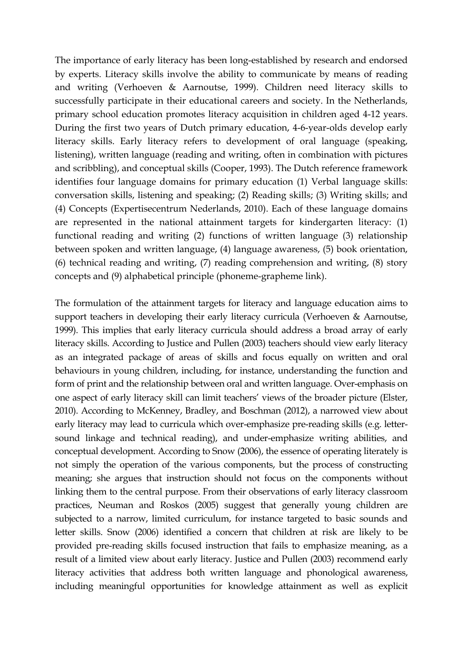The importance of early literacy has been long-established by research and endorsed by experts. Literacy skills involve the ability to communicate by means of reading and writing (Verhoeven & Aarnoutse, 1999). Children need literacy skills to successfully participate in their educational careers and society. In the Netherlands, primary school education promotes literacy acquisition in children aged 4-12 years. During the first two years of Dutch primary education, 4-6-year-olds develop early literacy skills. Early literacy refers to development of oral language (speaking, listening), written language (reading and writing, often in combination with pictures and scribbling), and conceptual skills (Cooper, 1993). The Dutch reference framework identifies four language domains for primary education (1) Verbal language skills: conversation skills, listening and speaking; (2) Reading skills; (3) Writing skills; and (4) Concepts (Expertisecentrum Nederlands, 2010). Each of these language domains are represented in the national attainment targets for kindergarten literacy: (1) functional reading and writing (2) functions of written language (3) relationship between spoken and written language, (4) language awareness, (5) book orientation, (6) technical reading and writing, (7) reading comprehension and writing, (8) story concepts and (9) alphabetical principle (phoneme-grapheme link).

The formulation of the attainment targets for literacy and language education aims to support teachers in developing their early literacy curricula (Verhoeven & Aarnoutse, 1999). This implies that early literacy curricula should address a broad array of early literacy skills. According to Justice and Pullen (2003) teachers should view early literacy as an integrated package of areas of skills and focus equally on written and oral behaviours in young children, including, for instance, understanding the function and form of print and the relationship between oral and written language. Over-emphasis on one aspect of early literacy skill can limit teachers' views of the broader picture (Elster, 2010). According to McKenney, Bradley, and Boschman (2012), a narrowed view about early literacy may lead to curricula which over-emphasize pre-reading skills (e.g. lettersound linkage and technical reading), and under-emphasize writing abilities, and conceptual development. According to Snow (2006), the essence of operating literately is not simply the operation of the various components, but the process of constructing meaning; she argues that instruction should not focus on the components without linking them to the central purpose. From their observations of early literacy classroom practices, Neuman and Roskos (2005) suggest that generally young children are subjected to a narrow, limited curriculum, for instance targeted to basic sounds and letter skills. Snow (2006) identified a concern that children at risk are likely to be provided pre-reading skills focused instruction that fails to emphasize meaning, as a result of a limited view about early literacy. Justice and Pullen (2003) recommend early literacy activities that address both written language and phonological awareness, including meaningful opportunities for knowledge attainment as well as explicit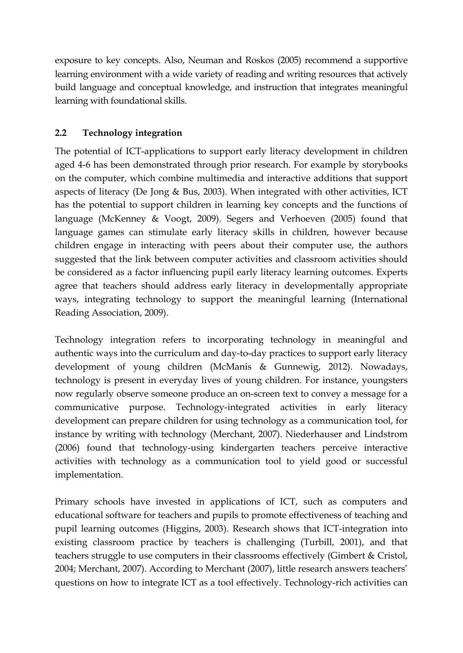exposure to key concepts. Also, Neuman and Roskos (2005) recommend a supportive learning environment with a wide variety of reading and writing resources that actively build language and conceptual knowledge, and instruction that integrates meaningful learning with foundational skills.

# **2.2 Technology integration**

The potential of ICT-applications to support early literacy development in children aged 4-6 has been demonstrated through prior research. For example by storybooks on the computer, which combine multimedia and interactive additions that support aspects of literacy (De Jong & Bus, 2003). When integrated with other activities, ICT has the potential to support children in learning key concepts and the functions of language (McKenney & Voogt, 2009). Segers and Verhoeven (2005) found that language games can stimulate early literacy skills in children, however because children engage in interacting with peers about their computer use, the authors suggested that the link between computer activities and classroom activities should be considered as a factor influencing pupil early literacy learning outcomes. Experts agree that teachers should address early literacy in developmentally appropriate ways, integrating technology to support the meaningful learning (International Reading Association, 2009).

Technology integration refers to incorporating technology in meaningful and authentic ways into the curriculum and day-to-day practices to support early literacy development of young children (McManis & Gunnewig, 2012). Nowadays, technology is present in everyday lives of young children. For instance, youngsters now regularly observe someone produce an on-screen text to convey a message for a communicative purpose. Technology-integrated activities in early literacy development can prepare children for using technology as a communication tool, for instance by writing with technology (Merchant, 2007). Niederhauser and Lindstrom (2006) found that technology-using kindergarten teachers perceive interactive activities with technology as a communication tool to yield good or successful implementation.

Primary schools have invested in applications of ICT, such as computers and educational software for teachers and pupils to promote effectiveness of teaching and pupil learning outcomes (Higgins, 2003). Research shows that ICT-integration into existing classroom practice by teachers is challenging (Turbill, 2001), and that teachers struggle to use computers in their classrooms effectively (Gimbert & Cristol, 2004; Merchant, 2007). According to Merchant (2007), little research answers teachers' questions on how to integrate ICT as a tool effectively. Technology-rich activities can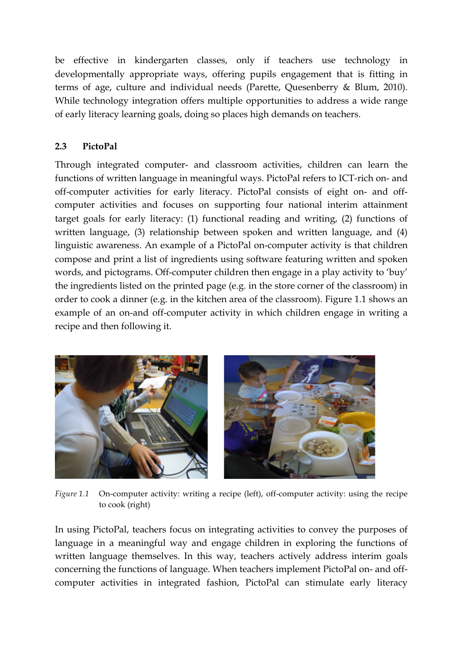be effective in kindergarten classes, only if teachers use technology in developmentally appropriate ways, offering pupils engagement that is fitting in terms of age, culture and individual needs (Parette, Quesenberry & Blum, 2010). While technology integration offers multiple opportunities to address a wide range of early literacy learning goals, doing so places high demands on teachers.

# **2.3 PictoPal**

Through integrated computer- and classroom activities, children can learn the functions of written language in meaningful ways. PictoPal refers to ICT-rich on- and off-computer activities for early literacy. PictoPal consists of eight on- and offcomputer activities and focuses on supporting four national interim attainment target goals for early literacy: (1) functional reading and writing, (2) functions of written language, (3) relationship between spoken and written language, and (4) linguistic awareness. An example of a PictoPal on-computer activity is that children compose and print a list of ingredients using software featuring written and spoken words, and pictograms. Off-computer children then engage in a play activity to 'buy' the ingredients listed on the printed page (e.g. in the store corner of the classroom) in order to cook a dinner (e.g. in the kitchen area of the classroom). Figure 1.1 shows an example of an on-and off-computer activity in which children engage in writing a recipe and then following it.



*Figure 1.1* On-computer activity: writing a recipe (left), off-computer activity: using the recipe to cook (right)

In using PictoPal, teachers focus on integrating activities to convey the purposes of language in a meaningful way and engage children in exploring the functions of written language themselves. In this way, teachers actively address interim goals concerning the functions of language. When teachers implement PictoPal on- and offcomputer activities in integrated fashion, PictoPal can stimulate early literacy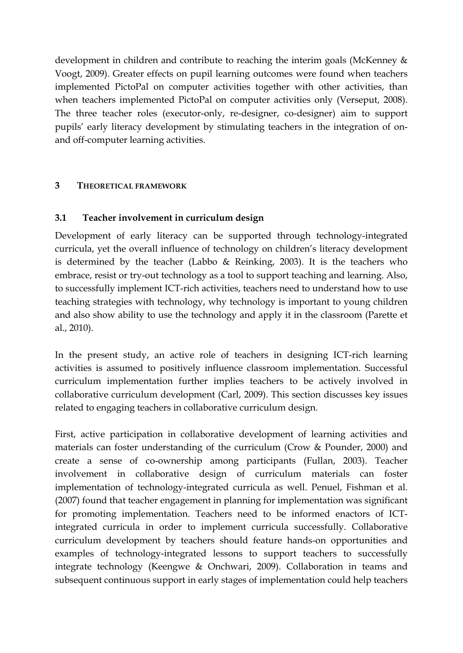development in children and contribute to reaching the interim goals (McKenney & Voogt, 2009). Greater effects on pupil learning outcomes were found when teachers implemented PictoPal on computer activities together with other activities, than when teachers implemented PictoPal on computer activities only (Verseput, 2008). The three teacher roles (executor-only, re-designer, co-designer) aim to support pupils' early literacy development by stimulating teachers in the integration of onand off-computer learning activities.

# **3 THEORETICAL FRAMEWORK**

# **3.1 Teacher involvement in curriculum design**

Development of early literacy can be supported through technology-integrated curricula, yet the overall influence of technology on children's literacy development is determined by the teacher (Labbo & Reinking, 2003). It is the teachers who embrace, resist or try-out technology as a tool to support teaching and learning. Also, to successfully implement ICT-rich activities, teachers need to understand how to use teaching strategies with technology, why technology is important to young children and also show ability to use the technology and apply it in the classroom (Parette et al., 2010).

In the present study, an active role of teachers in designing ICT-rich learning activities is assumed to positively influence classroom implementation. Successful curriculum implementation further implies teachers to be actively involved in collaborative curriculum development (Carl, 2009). This section discusses key issues related to engaging teachers in collaborative curriculum design.

First, active participation in collaborative development of learning activities and materials can foster understanding of the curriculum (Crow & Pounder, 2000) and create a sense of co-ownership among participants (Fullan, 2003). Teacher involvement in collaborative design of curriculum materials can foster implementation of technology-integrated curricula as well. Penuel, Fishman et al. (2007) found that teacher engagement in planning for implementation was significant for promoting implementation. Teachers need to be informed enactors of ICTintegrated curricula in order to implement curricula successfully. Collaborative curriculum development by teachers should feature hands-on opportunities and examples of technology-integrated lessons to support teachers to successfully integrate technology (Keengwe & Onchwari, 2009). Collaboration in teams and subsequent continuous support in early stages of implementation could help teachers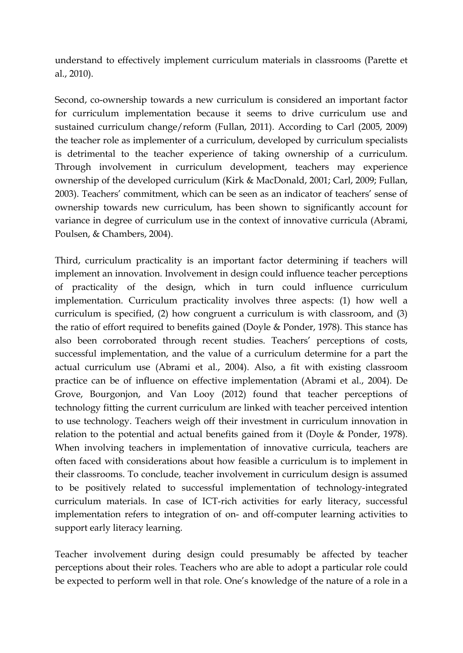understand to effectively implement curriculum materials in classrooms (Parette et al., 2010).

Second, co-ownership towards a new curriculum is considered an important factor for curriculum implementation because it seems to drive curriculum use and sustained curriculum change/reform (Fullan, 2011). According to Carl (2005, 2009) the teacher role as implementer of a curriculum, developed by curriculum specialists is detrimental to the teacher experience of taking ownership of a curriculum. Through involvement in curriculum development, teachers may experience ownership of the developed curriculum (Kirk & MacDonald, 2001; Carl, 2009; Fullan, 2003). Teachers' commitment, which can be seen as an indicator of teachers' sense of ownership towards new curriculum, has been shown to significantly account for variance in degree of curriculum use in the context of innovative curricula (Abrami, Poulsen, & Chambers, 2004).

Third, curriculum practicality is an important factor determining if teachers will implement an innovation. Involvement in design could influence teacher perceptions of practicality of the design, which in turn could influence curriculum implementation. Curriculum practicality involves three aspects: (1) how well a curriculum is specified, (2) how congruent a curriculum is with classroom, and (3) the ratio of effort required to benefits gained (Doyle & Ponder, 1978). This stance has also been corroborated through recent studies. Teachers' perceptions of costs, successful implementation, and the value of a curriculum determine for a part the actual curriculum use (Abrami et al., 2004). Also, a fit with existing classroom practice can be of influence on effective implementation (Abrami et al., 2004). De Grove, Bourgonjon, and Van Looy (2012) found that teacher perceptions of technology fitting the current curriculum are linked with teacher perceived intention to use technology. Teachers weigh off their investment in curriculum innovation in relation to the potential and actual benefits gained from it (Doyle & Ponder, 1978). When involving teachers in implementation of innovative curricula, teachers are often faced with considerations about how feasible a curriculum is to implement in their classrooms. To conclude, teacher involvement in curriculum design is assumed to be positively related to successful implementation of technology-integrated curriculum materials. In case of ICT-rich activities for early literacy, successful implementation refers to integration of on- and off-computer learning activities to support early literacy learning.

Teacher involvement during design could presumably be affected by teacher perceptions about their roles. Teachers who are able to adopt a particular role could be expected to perform well in that role. One's knowledge of the nature of a role in a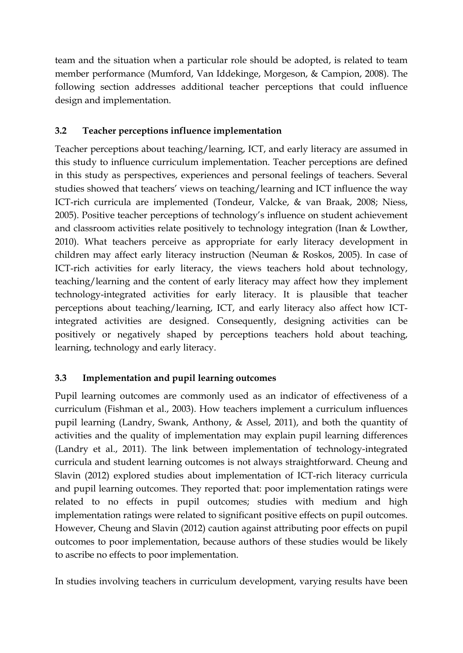team and the situation when a particular role should be adopted, is related to team member performance (Mumford, Van Iddekinge, Morgeson, & Campion, 2008). The following section addresses additional teacher perceptions that could influence design and implementation.

# **3.2 Teacher perceptions influence implementation**

Teacher perceptions about teaching/learning, ICT, and early literacy are assumed in this study to influence curriculum implementation. Teacher perceptions are defined in this study as perspectives, experiences and personal feelings of teachers. Several studies showed that teachers' views on teaching/learning and ICT influence the way ICT-rich curricula are implemented (Tondeur, Valcke, & van Braak, 2008; Niess, 2005). Positive teacher perceptions of technology's influence on student achievement and classroom activities relate positively to technology integration (Inan & Lowther, 2010). What teachers perceive as appropriate for early literacy development in children may affect early literacy instruction (Neuman & Roskos, 2005). In case of ICT-rich activities for early literacy, the views teachers hold about technology, teaching/learning and the content of early literacy may affect how they implement technology-integrated activities for early literacy. It is plausible that teacher perceptions about teaching/learning, ICT, and early literacy also affect how ICTintegrated activities are designed. Consequently, designing activities can be positively or negatively shaped by perceptions teachers hold about teaching, learning, technology and early literacy.

# **3.3 Implementation and pupil learning outcomes**

Pupil learning outcomes are commonly used as an indicator of effectiveness of a curriculum (Fishman et al., 2003). How teachers implement a curriculum influences pupil learning (Landry, Swank, Anthony, & Assel, 2011), and both the quantity of activities and the quality of implementation may explain pupil learning differences (Landry et al., 2011). The link between implementation of technology-integrated curricula and student learning outcomes is not always straightforward. Cheung and Slavin (2012) explored studies about implementation of ICT-rich literacy curricula and pupil learning outcomes. They reported that: poor implementation ratings were related to no effects in pupil outcomes; studies with medium and high implementation ratings were related to significant positive effects on pupil outcomes. However, Cheung and Slavin (2012) caution against attributing poor effects on pupil outcomes to poor implementation, because authors of these studies would be likely to ascribe no effects to poor implementation.

In studies involving teachers in curriculum development, varying results have been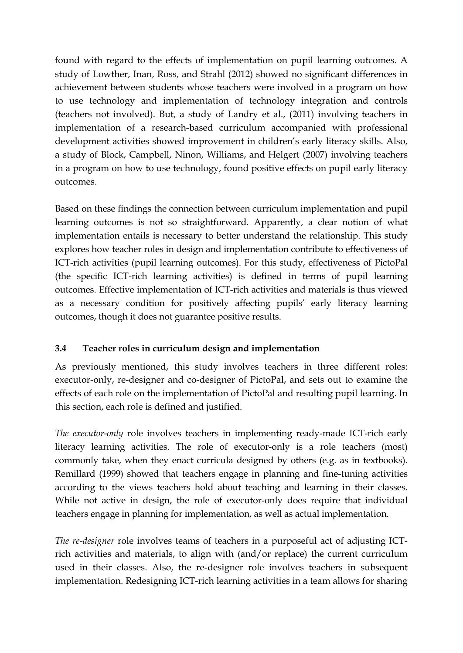found with regard to the effects of implementation on pupil learning outcomes. A study of Lowther, Inan, Ross, and Strahl (2012) showed no significant differences in achievement between students whose teachers were involved in a program on how to use technology and implementation of technology integration and controls (teachers not involved). But, a study of Landry et al., (2011) involving teachers in implementation of a research-based curriculum accompanied with professional development activities showed improvement in children's early literacy skills. Also, a study of Block, Campbell, Ninon, Williams, and Helgert (2007) involving teachers in a program on how to use technology, found positive effects on pupil early literacy outcomes.

Based on these findings the connection between curriculum implementation and pupil learning outcomes is not so straightforward. Apparently, a clear notion of what implementation entails is necessary to better understand the relationship. This study explores how teacher roles in design and implementation contribute to effectiveness of ICT-rich activities (pupil learning outcomes). For this study, effectiveness of PictoPal (the specific ICT-rich learning activities) is defined in terms of pupil learning outcomes. Effective implementation of ICT-rich activities and materials is thus viewed as a necessary condition for positively affecting pupils' early literacy learning outcomes, though it does not guarantee positive results.

# **3.4 Teacher roles in curriculum design and implementation**

As previously mentioned, this study involves teachers in three different roles: executor-only, re-designer and co-designer of PictoPal, and sets out to examine the effects of each role on the implementation of PictoPal and resulting pupil learning. In this section, each role is defined and justified.

*The executor-only* role involves teachers in implementing ready-made ICT-rich early literacy learning activities. The role of executor-only is a role teachers (most) commonly take, when they enact curricula designed by others (e.g. as in textbooks). Remillard (1999) showed that teachers engage in planning and fine-tuning activities according to the views teachers hold about teaching and learning in their classes. While not active in design, the role of executor-only does require that individual teachers engage in planning for implementation, as well as actual implementation.

*The re-designer* role involves teams of teachers in a purposeful act of adjusting ICTrich activities and materials, to align with (and/or replace) the current curriculum used in their classes. Also, the re-designer role involves teachers in subsequent implementation. Redesigning ICT-rich learning activities in a team allows for sharing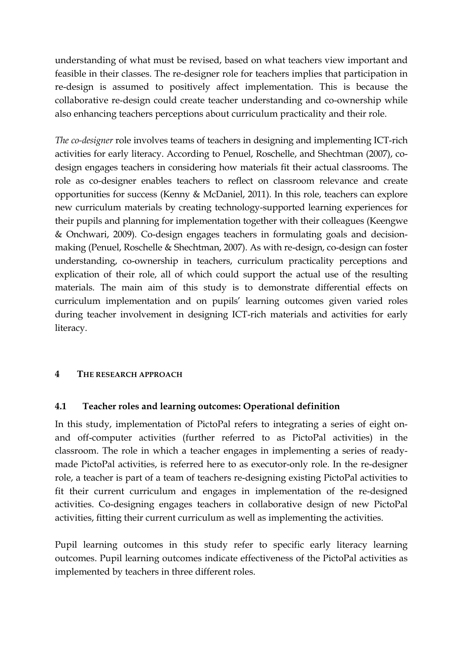understanding of what must be revised, based on what teachers view important and feasible in their classes. The re-designer role for teachers implies that participation in re-design is assumed to positively affect implementation. This is because the collaborative re-design could create teacher understanding and co-ownership while also enhancing teachers perceptions about curriculum practicality and their role.

*The co-designer* role involves teams of teachers in designing and implementing ICT-rich activities for early literacy. According to Penuel, Roschelle, and Shechtman (2007), codesign engages teachers in considering how materials fit their actual classrooms. The role as co-designer enables teachers to reflect on classroom relevance and create opportunities for success (Kenny & McDaniel, 2011). In this role, teachers can explore new curriculum materials by creating technology-supported learning experiences for their pupils and planning for implementation together with their colleagues (Keengwe & Onchwari, 2009). Co-design engages teachers in formulating goals and decisionmaking (Penuel, Roschelle & Shechtman, 2007). As with re-design, co-design can foster understanding, co-ownership in teachers, curriculum practicality perceptions and explication of their role, all of which could support the actual use of the resulting materials. The main aim of this study is to demonstrate differential effects on curriculum implementation and on pupils' learning outcomes given varied roles during teacher involvement in designing ICT-rich materials and activities for early literacy.

# **4 THE RESEARCH APPROACH**

# **4.1 Teacher roles and learning outcomes: Operational definition**

In this study, implementation of PictoPal refers to integrating a series of eight onand off-computer activities (further referred to as PictoPal activities) in the classroom. The role in which a teacher engages in implementing a series of readymade PictoPal activities, is referred here to as executor-only role. In the re-designer role, a teacher is part of a team of teachers re-designing existing PictoPal activities to fit their current curriculum and engages in implementation of the re-designed activities. Co-designing engages teachers in collaborative design of new PictoPal activities, fitting their current curriculum as well as implementing the activities.

Pupil learning outcomes in this study refer to specific early literacy learning outcomes. Pupil learning outcomes indicate effectiveness of the PictoPal activities as implemented by teachers in three different roles.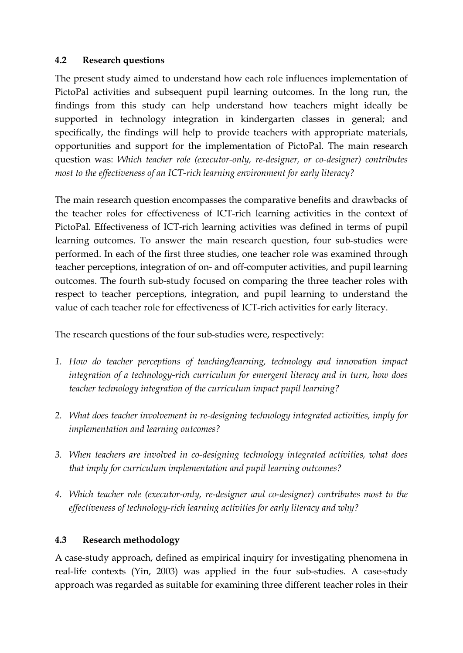# **4.2 Research questions**

The present study aimed to understand how each role influences implementation of PictoPal activities and subsequent pupil learning outcomes. In the long run, the findings from this study can help understand how teachers might ideally be supported in technology integration in kindergarten classes in general; and specifically, the findings will help to provide teachers with appropriate materials, opportunities and support for the implementation of PictoPal. The main research question was: *Which teacher role (executor-only, re-designer, or co-designer) contributes most to the effectiveness of an ICT-rich learning environment for early literacy?*

The main research question encompasses the comparative benefits and drawbacks of the teacher roles for effectiveness of ICT-rich learning activities in the context of PictoPal. Effectiveness of ICT-rich learning activities was defined in terms of pupil learning outcomes. To answer the main research question, four sub-studies were performed. In each of the first three studies, one teacher role was examined through teacher perceptions, integration of on- and off-computer activities, and pupil learning outcomes. The fourth sub-study focused on comparing the three teacher roles with respect to teacher perceptions, integration, and pupil learning to understand the value of each teacher role for effectiveness of ICT-rich activities for early literacy.

The research questions of the four sub-studies were, respectively:

- *1. How do teacher perceptions of teaching/learning, technology and innovation impact integration of a technology-rich curriculum for emergent literacy and in turn, how does teacher technology integration of the curriculum impact pupil learning?*
- *2. What does teacher involvement in re-designing technology integrated activities, imply for implementation and learning outcomes?*
- *3. When teachers are involved in co-designing technology integrated activities, what does that imply for curriculum implementation and pupil learning outcomes?*
- *4. Which teacher role (executor-only, re-designer and co-designer) contributes most to the effectiveness of technology-rich learning activities for early literacy and why?*

# **4.3 Research methodology**

A case-study approach, defined as empirical inquiry for investigating phenomena in real-life contexts (Yin, 2003) was applied in the four sub-studies. A case-study approach was regarded as suitable for examining three different teacher roles in their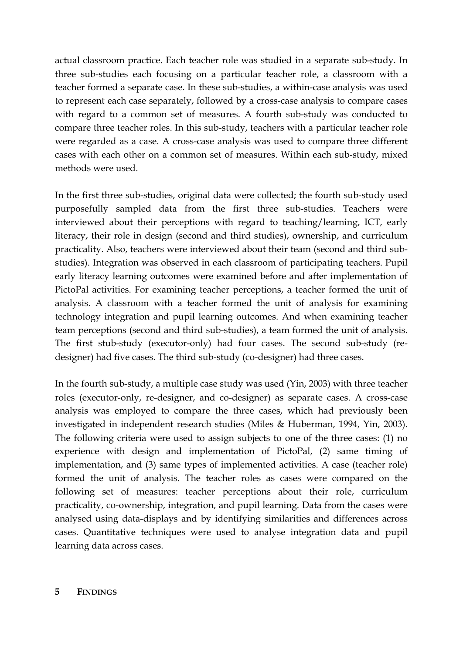actual classroom practice. Each teacher role was studied in a separate sub-study. In three sub-studies each focusing on a particular teacher role, a classroom with a teacher formed a separate case. In these sub-studies, a within-case analysis was used to represent each case separately, followed by a cross-case analysis to compare cases with regard to a common set of measures. A fourth sub-study was conducted to compare three teacher roles. In this sub-study, teachers with a particular teacher role were regarded as a case. A cross-case analysis was used to compare three different cases with each other on a common set of measures. Within each sub-study, mixed methods were used.

In the first three sub-studies, original data were collected; the fourth sub-study used purposefully sampled data from the first three sub-studies. Teachers were interviewed about their perceptions with regard to teaching/learning, ICT, early literacy, their role in design (second and third studies), ownership, and curriculum practicality. Also, teachers were interviewed about their team (second and third substudies). Integration was observed in each classroom of participating teachers. Pupil early literacy learning outcomes were examined before and after implementation of PictoPal activities. For examining teacher perceptions, a teacher formed the unit of analysis. A classroom with a teacher formed the unit of analysis for examining technology integration and pupil learning outcomes. And when examining teacher team perceptions (second and third sub-studies), a team formed the unit of analysis. The first stub-study (executor-only) had four cases. The second sub-study (redesigner) had five cases. The third sub-study (co-designer) had three cases.

In the fourth sub-study, a multiple case study was used (Yin, 2003) with three teacher roles (executor-only, re-designer, and co-designer) as separate cases. A cross-case analysis was employed to compare the three cases, which had previously been investigated in independent research studies (Miles & Huberman, 1994, Yin, 2003). The following criteria were used to assign subjects to one of the three cases: (1) no experience with design and implementation of PictoPal, (2) same timing of implementation, and (3) same types of implemented activities. A case (teacher role) formed the unit of analysis. The teacher roles as cases were compared on the following set of measures: teacher perceptions about their role, curriculum practicality, co-ownership, integration, and pupil learning. Data from the cases were analysed using data-displays and by identifying similarities and differences across cases. Quantitative techniques were used to analyse integration data and pupil learning data across cases.

#### **5 FINDINGS**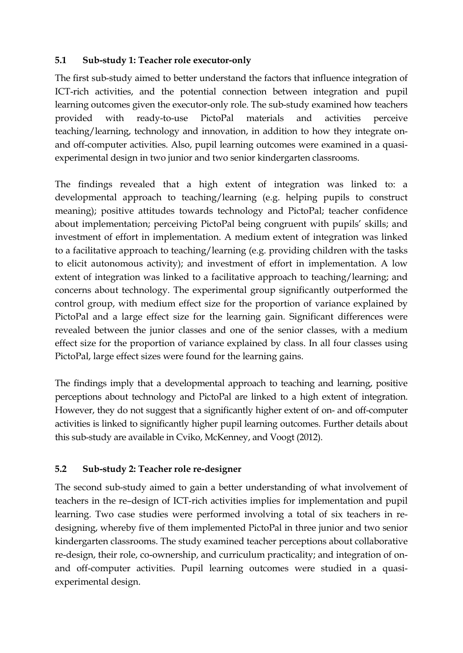# **5.1 Sub-study 1: Teacher role executor-only**

The first sub-study aimed to better understand the factors that influence integration of ICT-rich activities, and the potential connection between integration and pupil learning outcomes given the executor-only role. The sub-study examined how teachers provided with ready-to-use PictoPal materials and activities perceive teaching/learning, technology and innovation, in addition to how they integrate onand off-computer activities. Also, pupil learning outcomes were examined in a quasiexperimental design in two junior and two senior kindergarten classrooms.

The findings revealed that a high extent of integration was linked to: a developmental approach to teaching/learning (e.g. helping pupils to construct meaning); positive attitudes towards technology and PictoPal; teacher confidence about implementation; perceiving PictoPal being congruent with pupils' skills; and investment of effort in implementation. A medium extent of integration was linked to a facilitative approach to teaching/learning (e.g. providing children with the tasks to elicit autonomous activity); and investment of effort in implementation. A low extent of integration was linked to a facilitative approach to teaching/learning; and concerns about technology. The experimental group significantly outperformed the control group, with medium effect size for the proportion of variance explained by PictoPal and a large effect size for the learning gain. Significant differences were revealed between the junior classes and one of the senior classes, with a medium effect size for the proportion of variance explained by class. In all four classes using PictoPal, large effect sizes were found for the learning gains.

The findings imply that a developmental approach to teaching and learning, positive perceptions about technology and PictoPal are linked to a high extent of integration. However, they do not suggest that a significantly higher extent of on- and off-computer activities is linked to significantly higher pupil learning outcomes. Further details about this sub-study are available in Cviko, McKenney, and Voogt (2012).

# **5.2 Sub-study 2: Teacher role re-designer**

The second sub-study aimed to gain a better understanding of what involvement of teachers in the re–design of ICT-rich activities implies for implementation and pupil learning. Two case studies were performed involving a total of six teachers in redesigning, whereby five of them implemented PictoPal in three junior and two senior kindergarten classrooms. The study examined teacher perceptions about collaborative re-design, their role, co-ownership, and curriculum practicality; and integration of onand off-computer activities. Pupil learning outcomes were studied in a quasiexperimental design.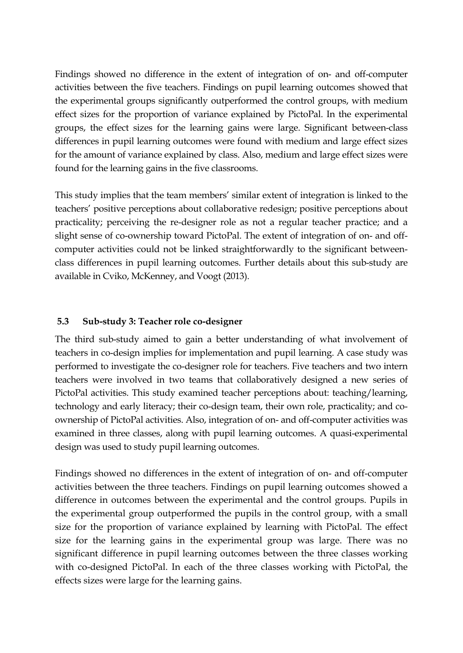Findings showed no difference in the extent of integration of on- and off-computer activities between the five teachers. Findings on pupil learning outcomes showed that the experimental groups significantly outperformed the control groups, with medium effect sizes for the proportion of variance explained by PictoPal. In the experimental groups, the effect sizes for the learning gains were large. Significant between-class differences in pupil learning outcomes were found with medium and large effect sizes for the amount of variance explained by class. Also, medium and large effect sizes were found for the learning gains in the five classrooms.

This study implies that the team members' similar extent of integration is linked to the teachers' positive perceptions about collaborative redesign; positive perceptions about practicality; perceiving the re-designer role as not a regular teacher practice; and a slight sense of co-ownership toward PictoPal. The extent of integration of on- and offcomputer activities could not be linked straightforwardly to the significant betweenclass differences in pupil learning outcomes. Further details about this sub-study are available in Cviko, McKenney, and Voogt (2013).

# **5.3 Sub-study 3: Teacher role co-designer**

The third sub-study aimed to gain a better understanding of what involvement of teachers in co-design implies for implementation and pupil learning. A case study was performed to investigate the co-designer role for teachers. Five teachers and two intern teachers were involved in two teams that collaboratively designed a new series of PictoPal activities. This study examined teacher perceptions about: teaching/learning, technology and early literacy; their co-design team, their own role, practicality; and coownership of PictoPal activities. Also, integration of on- and off-computer activities was examined in three classes, along with pupil learning outcomes. A quasi-experimental design was used to study pupil learning outcomes.

Findings showed no differences in the extent of integration of on- and off-computer activities between the three teachers. Findings on pupil learning outcomes showed a difference in outcomes between the experimental and the control groups. Pupils in the experimental group outperformed the pupils in the control group, with a small size for the proportion of variance explained by learning with PictoPal. The effect size for the learning gains in the experimental group was large. There was no significant difference in pupil learning outcomes between the three classes working with co-designed PictoPal. In each of the three classes working with PictoPal, the effects sizes were large for the learning gains.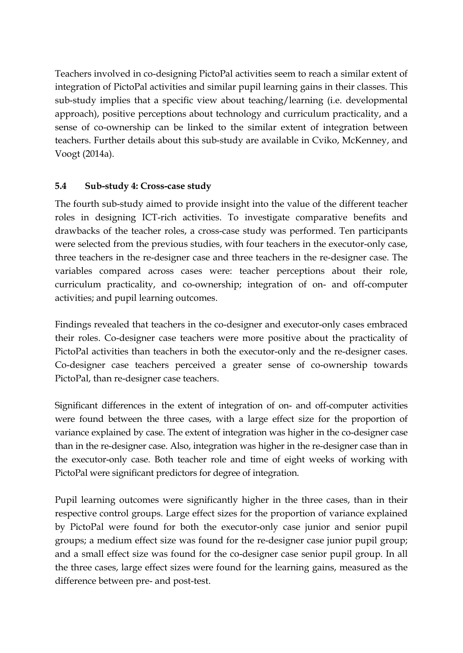Teachers involved in co-designing PictoPal activities seem to reach a similar extent of integration of PictoPal activities and similar pupil learning gains in their classes. This sub-study implies that a specific view about teaching/learning (i.e. developmental approach), positive perceptions about technology and curriculum practicality, and a sense of co-ownership can be linked to the similar extent of integration between teachers. Further details about this sub-study are available in Cviko, McKenney, and Voogt (2014a).

# **5.4 Sub-study 4: Cross-case study**

The fourth sub-study aimed to provide insight into the value of the different teacher roles in designing ICT-rich activities. To investigate comparative benefits and drawbacks of the teacher roles, a cross-case study was performed. Ten participants were selected from the previous studies, with four teachers in the executor-only case, three teachers in the re-designer case and three teachers in the re-designer case. The variables compared across cases were: teacher perceptions about their role, curriculum practicality, and co-ownership; integration of on- and off-computer activities; and pupil learning outcomes.

Findings revealed that teachers in the co-designer and executor-only cases embraced their roles. Co-designer case teachers were more positive about the practicality of PictoPal activities than teachers in both the executor-only and the re-designer cases. Co-designer case teachers perceived a greater sense of co-ownership towards PictoPal, than re-designer case teachers.

Significant differences in the extent of integration of on- and off-computer activities were found between the three cases, with a large effect size for the proportion of variance explained by case. The extent of integration was higher in the co-designer case than in the re-designer case. Also, integration was higher in the re-designer case than in the executor-only case. Both teacher role and time of eight weeks of working with PictoPal were significant predictors for degree of integration.

Pupil learning outcomes were significantly higher in the three cases, than in their respective control groups. Large effect sizes for the proportion of variance explained by PictoPal were found for both the executor-only case junior and senior pupil groups; a medium effect size was found for the re-designer case junior pupil group; and a small effect size was found for the co-designer case senior pupil group. In all the three cases, large effect sizes were found for the learning gains, measured as the difference between pre- and post-test.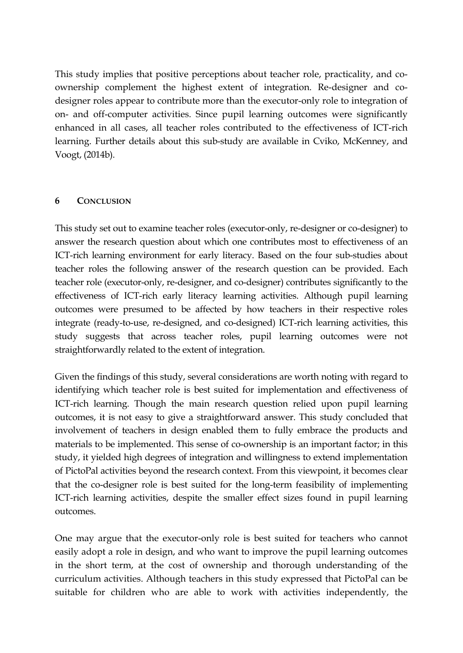This study implies that positive perceptions about teacher role, practicality, and coownership complement the highest extent of integration. Re-designer and codesigner roles appear to contribute more than the executor-only role to integration of on- and off-computer activities. Since pupil learning outcomes were significantly enhanced in all cases, all teacher roles contributed to the effectiveness of ICT-rich learning. Further details about this sub-study are available in Cviko, McKenney, and Voogt, (2014b).

### **6 CONCLUSION**

This study set out to examine teacher roles (executor-only, re-designer or co-designer) to answer the research question about which one contributes most to effectiveness of an ICT-rich learning environment for early literacy. Based on the four sub-studies about teacher roles the following answer of the research question can be provided. Each teacher role (executor-only, re-designer, and co-designer) contributes significantly to the effectiveness of ICT-rich early literacy learning activities. Although pupil learning outcomes were presumed to be affected by how teachers in their respective roles integrate (ready-to-use, re-designed, and co-designed) ICT-rich learning activities, this study suggests that across teacher roles, pupil learning outcomes were not straightforwardly related to the extent of integration.

Given the findings of this study, several considerations are worth noting with regard to identifying which teacher role is best suited for implementation and effectiveness of ICT-rich learning. Though the main research question relied upon pupil learning outcomes, it is not easy to give a straightforward answer. This study concluded that involvement of teachers in design enabled them to fully embrace the products and materials to be implemented. This sense of co-ownership is an important factor; in this study, it yielded high degrees of integration and willingness to extend implementation of PictoPal activities beyond the research context. From this viewpoint, it becomes clear that the co-designer role is best suited for the long-term feasibility of implementing ICT-rich learning activities, despite the smaller effect sizes found in pupil learning outcomes.

One may argue that the executor-only role is best suited for teachers who cannot easily adopt a role in design, and who want to improve the pupil learning outcomes in the short term, at the cost of ownership and thorough understanding of the curriculum activities. Although teachers in this study expressed that PictoPal can be suitable for children who are able to work with activities independently, the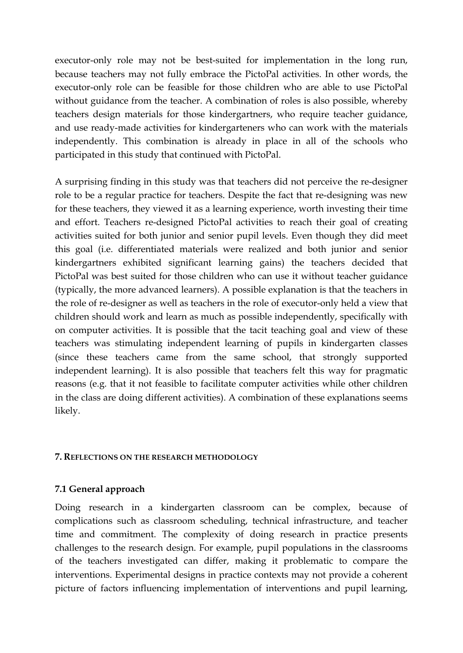executor-only role may not be best-suited for implementation in the long run, because teachers may not fully embrace the PictoPal activities. In other words, the executor-only role can be feasible for those children who are able to use PictoPal without guidance from the teacher. A combination of roles is also possible, whereby teachers design materials for those kindergartners, who require teacher guidance, and use ready-made activities for kindergarteners who can work with the materials independently. This combination is already in place in all of the schools who participated in this study that continued with PictoPal.

A surprising finding in this study was that teachers did not perceive the re-designer role to be a regular practice for teachers. Despite the fact that re-designing was new for these teachers, they viewed it as a learning experience, worth investing their time and effort. Teachers re-designed PictoPal activities to reach their goal of creating activities suited for both junior and senior pupil levels. Even though they did meet this goal (i.e. differentiated materials were realized and both junior and senior kindergartners exhibited significant learning gains) the teachers decided that PictoPal was best suited for those children who can use it without teacher guidance (typically, the more advanced learners). A possible explanation is that the teachers in the role of re-designer as well as teachers in the role of executor-only held a view that children should work and learn as much as possible independently, specifically with on computer activities. It is possible that the tacit teaching goal and view of these teachers was stimulating independent learning of pupils in kindergarten classes (since these teachers came from the same school, that strongly supported independent learning). It is also possible that teachers felt this way for pragmatic reasons (e.g. that it not feasible to facilitate computer activities while other children in the class are doing different activities). A combination of these explanations seems likely.

### **7. REFLECTIONS ON THE RESEARCH METHODOLOGY**

### **7.1 General approach**

Doing research in a kindergarten classroom can be complex, because of complications such as classroom scheduling, technical infrastructure, and teacher time and commitment. The complexity of doing research in practice presents challenges to the research design. For example, pupil populations in the classrooms of the teachers investigated can differ, making it problematic to compare the interventions. Experimental designs in practice contexts may not provide a coherent picture of factors influencing implementation of interventions and pupil learning,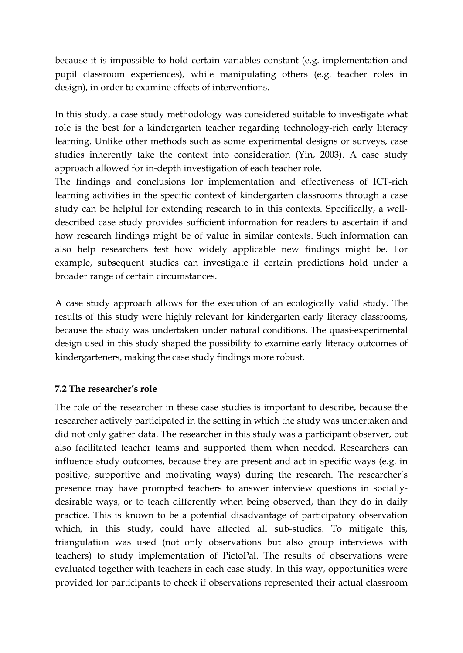because it is impossible to hold certain variables constant (e.g. implementation and pupil classroom experiences), while manipulating others (e.g. teacher roles in design), in order to examine effects of interventions.

In this study, a case study methodology was considered suitable to investigate what role is the best for a kindergarten teacher regarding technology-rich early literacy learning. Unlike other methods such as some experimental designs or surveys, case studies inherently take the context into consideration (Yin, 2003). A case study approach allowed for in-depth investigation of each teacher role.

The findings and conclusions for implementation and effectiveness of ICT-rich learning activities in the specific context of kindergarten classrooms through a case study can be helpful for extending research to in this contexts. Specifically, a welldescribed case study provides sufficient information for readers to ascertain if and how research findings might be of value in similar contexts. Such information can also help researchers test how widely applicable new findings might be. For example, subsequent studies can investigate if certain predictions hold under a broader range of certain circumstances.

A case study approach allows for the execution of an ecologically valid study. The results of this study were highly relevant for kindergarten early literacy classrooms, because the study was undertaken under natural conditions. The quasi-experimental design used in this study shaped the possibility to examine early literacy outcomes of kindergarteners, making the case study findings more robust.

# **7.2 The researcher's role**

The role of the researcher in these case studies is important to describe, because the researcher actively participated in the setting in which the study was undertaken and did not only gather data. The researcher in this study was a participant observer, but also facilitated teacher teams and supported them when needed. Researchers can influence study outcomes, because they are present and act in specific ways (e.g. in positive, supportive and motivating ways) during the research. The researcher's presence may have prompted teachers to answer interview questions in sociallydesirable ways, or to teach differently when being observed, than they do in daily practice. This is known to be a potential disadvantage of participatory observation which, in this study, could have affected all sub-studies. To mitigate this, triangulation was used (not only observations but also group interviews with teachers) to study implementation of PictoPal. The results of observations were evaluated together with teachers in each case study. In this way, opportunities were provided for participants to check if observations represented their actual classroom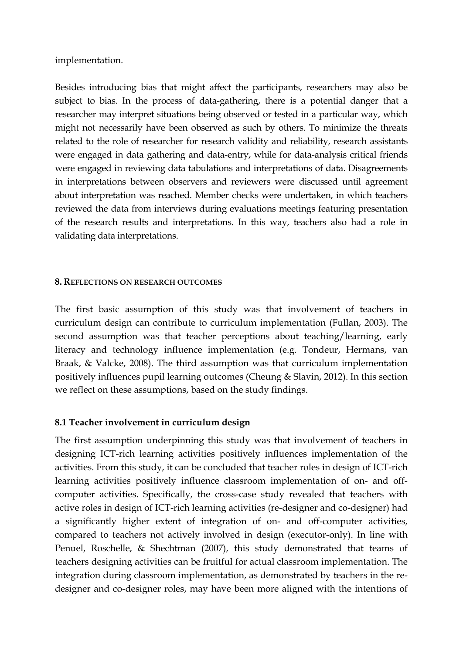implementation.

Besides introducing bias that might affect the participants, researchers may also be subject to bias. In the process of data-gathering, there is a potential danger that a researcher may interpret situations being observed or tested in a particular way, which might not necessarily have been observed as such by others. To minimize the threats related to the role of researcher for research validity and reliability, research assistants were engaged in data gathering and data-entry, while for data-analysis critical friends were engaged in reviewing data tabulations and interpretations of data. Disagreements in interpretations between observers and reviewers were discussed until agreement about interpretation was reached. Member checks were undertaken, in which teachers reviewed the data from interviews during evaluations meetings featuring presentation of the research results and interpretations. In this way, teachers also had a role in validating data interpretations.

### **8. REFLECTIONS ON RESEARCH OUTCOMES**

The first basic assumption of this study was that involvement of teachers in curriculum design can contribute to curriculum implementation (Fullan, 2003). The second assumption was that teacher perceptions about teaching/learning, early literacy and technology influence implementation (e.g. Tondeur, Hermans, van Braak, & Valcke, 2008). The third assumption was that curriculum implementation positively influences pupil learning outcomes (Cheung & Slavin, 2012). In this section we reflect on these assumptions, based on the study findings.

# **8.1 Teacher involvement in curriculum design**

The first assumption underpinning this study was that involvement of teachers in designing ICT-rich learning activities positively influences implementation of the activities. From this study, it can be concluded that teacher roles in design of ICT-rich learning activities positively influence classroom implementation of on- and offcomputer activities. Specifically, the cross-case study revealed that teachers with active roles in design of ICT-rich learning activities (re-designer and co-designer) had a significantly higher extent of integration of on- and off-computer activities, compared to teachers not actively involved in design (executor-only). In line with Penuel, Roschelle, & Shechtman (2007), this study demonstrated that teams of teachers designing activities can be fruitful for actual classroom implementation. The integration during classroom implementation, as demonstrated by teachers in the redesigner and co-designer roles, may have been more aligned with the intentions of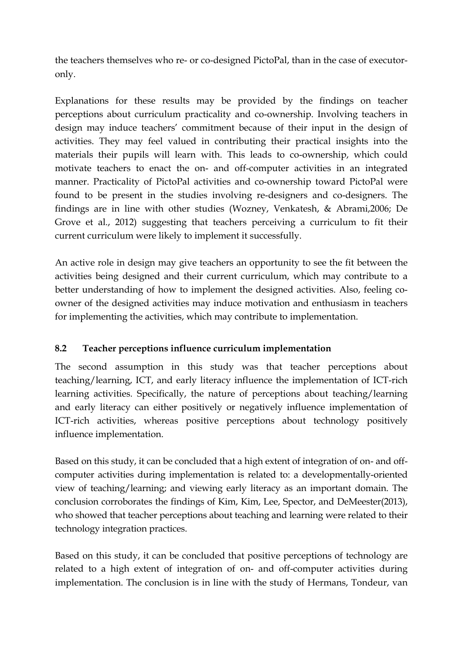the teachers themselves who re- or co-designed PictoPal, than in the case of executoronly.

Explanations for these results may be provided by the findings on teacher perceptions about curriculum practicality and co-ownership. Involving teachers in design may induce teachers' commitment because of their input in the design of activities. They may feel valued in contributing their practical insights into the materials their pupils will learn with. This leads to co-ownership, which could motivate teachers to enact the on- and off-computer activities in an integrated manner. Practicality of PictoPal activities and co-ownership toward PictoPal were found to be present in the studies involving re-designers and co-designers. The findings are in line with other studies (Wozney, Venkatesh, & Abrami,2006; De Grove et al., 2012) suggesting that teachers perceiving a curriculum to fit their current curriculum were likely to implement it successfully.

An active role in design may give teachers an opportunity to see the fit between the activities being designed and their current curriculum, which may contribute to a better understanding of how to implement the designed activities. Also, feeling coowner of the designed activities may induce motivation and enthusiasm in teachers for implementing the activities, which may contribute to implementation.

# **8.2 Teacher perceptions influence curriculum implementation**

The second assumption in this study was that teacher perceptions about teaching/learning, ICT, and early literacy influence the implementation of ICT-rich learning activities*.* Specifically, the nature of perceptions about teaching/learning and early literacy can either positively or negatively influence implementation of ICT-rich activities, whereas positive perceptions about technology positively influence implementation.

Based on this study, it can be concluded that a high extent of integration of on- and offcomputer activities during implementation is related to: a developmentally-oriented view of teaching/learning; and viewing early literacy as an important domain. The conclusion corroborates the findings of Kim, Kim, Lee, Spector, and DeMeester(2013), who showed that teacher perceptions about teaching and learning were related to their technology integration practices.

Based on this study, it can be concluded that positive perceptions of technology are related to a high extent of integration of on- and off-computer activities during implementation. The conclusion is in line with the study of Hermans, Tondeur, van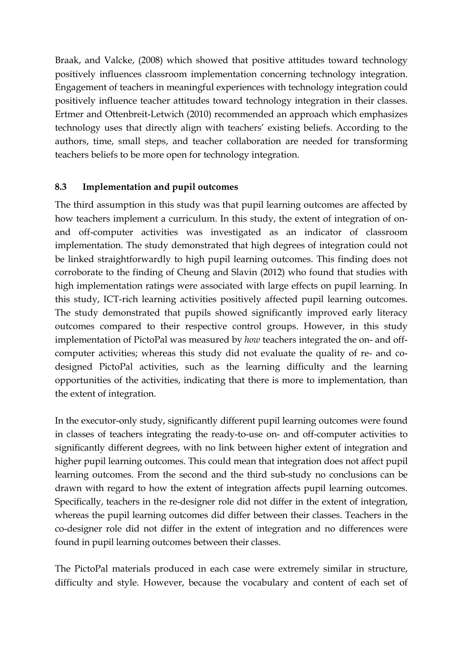Braak, and Valcke, (2008) which showed that positive attitudes toward technology positively influences classroom implementation concerning technology integration. Engagement of teachers in meaningful experiences with technology integration could positively influence teacher attitudes toward technology integration in their classes. Ertmer and Ottenbreit-Letwich (2010) recommended an approach which emphasizes technology uses that directly align with teachers' existing beliefs. According to the authors, time, small steps, and teacher collaboration are needed for transforming teachers beliefs to be more open for technology integration.

# **8.3 Implementation and pupil outcomes**

The third assumption in this study was that pupil learning outcomes are affected by how teachers implement a curriculum. In this study, the extent of integration of onand off-computer activities was investigated as an indicator of classroom implementation. The study demonstrated that high degrees of integration could not be linked straightforwardly to high pupil learning outcomes. This finding does not corroborate to the finding of Cheung and Slavin (2012) who found that studies with high implementation ratings were associated with large effects on pupil learning. In this study, ICT-rich learning activities positively affected pupil learning outcomes. The study demonstrated that pupils showed significantly improved early literacy outcomes compared to their respective control groups. However, in this study implementation of PictoPal was measured by *how* teachers integrated the on- and offcomputer activities; whereas this study did not evaluate the quality of re- and codesigned PictoPal activities, such as the learning difficulty and the learning opportunities of the activities, indicating that there is more to implementation, than the extent of integration.

In the executor-only study, significantly different pupil learning outcomes were found in classes of teachers integrating the ready-to-use on- and off-computer activities to significantly different degrees, with no link between higher extent of integration and higher pupil learning outcomes. This could mean that integration does not affect pupil learning outcomes. From the second and the third sub-study no conclusions can be drawn with regard to how the extent of integration affects pupil learning outcomes. Specifically, teachers in the re-designer role did not differ in the extent of integration, whereas the pupil learning outcomes did differ between their classes. Teachers in the co-designer role did not differ in the extent of integration and no differences were found in pupil learning outcomes between their classes.

The PictoPal materials produced in each case were extremely similar in structure, difficulty and style. However, because the vocabulary and content of each set of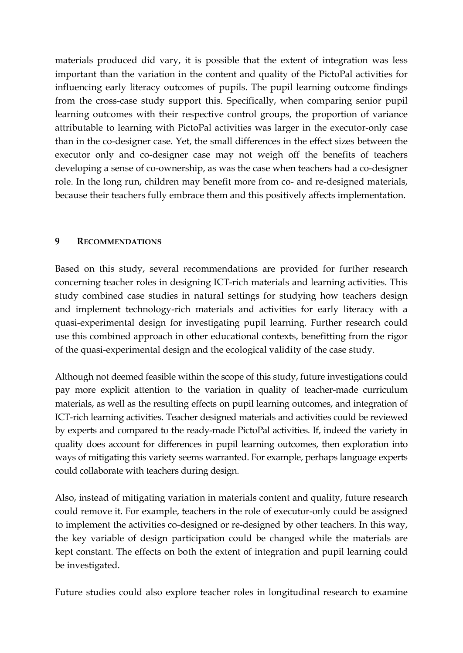materials produced did vary, it is possible that the extent of integration was less important than the variation in the content and quality of the PictoPal activities for influencing early literacy outcomes of pupils. The pupil learning outcome findings from the cross-case study support this. Specifically, when comparing senior pupil learning outcomes with their respective control groups, the proportion of variance attributable to learning with PictoPal activities was larger in the executor-only case than in the co-designer case. Yet, the small differences in the effect sizes between the executor only and co-designer case may not weigh off the benefits of teachers developing a sense of co-ownership, as was the case when teachers had a co-designer role. In the long run, children may benefit more from co- and re-designed materials, because their teachers fully embrace them and this positively affects implementation.

### **9 RECOMMENDATIONS**

Based on this study, several recommendations are provided for further research concerning teacher roles in designing ICT-rich materials and learning activities. This study combined case studies in natural settings for studying how teachers design and implement technology-rich materials and activities for early literacy with a quasi-experimental design for investigating pupil learning. Further research could use this combined approach in other educational contexts, benefitting from the rigor of the quasi-experimental design and the ecological validity of the case study.

Although not deemed feasible within the scope of this study, future investigations could pay more explicit attention to the variation in quality of teacher-made curriculum materials, as well as the resulting effects on pupil learning outcomes, and integration of ICT-rich learning activities. Teacher designed materials and activities could be reviewed by experts and compared to the ready-made PictoPal activities. If, indeed the variety in quality does account for differences in pupil learning outcomes, then exploration into ways of mitigating this variety seems warranted. For example, perhaps language experts could collaborate with teachers during design.

Also, instead of mitigating variation in materials content and quality, future research could remove it. For example, teachers in the role of executor-only could be assigned to implement the activities co-designed or re-designed by other teachers. In this way, the key variable of design participation could be changed while the materials are kept constant. The effects on both the extent of integration and pupil learning could be investigated.

Future studies could also explore teacher roles in longitudinal research to examine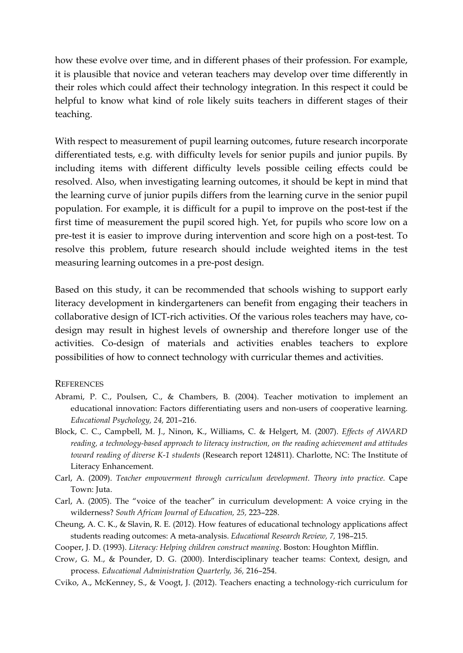how these evolve over time, and in different phases of their profession. For example, it is plausible that novice and veteran teachers may develop over time differently in their roles which could affect their technology integration. In this respect it could be helpful to know what kind of role likely suits teachers in different stages of their teaching.

With respect to measurement of pupil learning outcomes, future research incorporate differentiated tests, e.g. with difficulty levels for senior pupils and junior pupils. By including items with different difficulty levels possible ceiling effects could be resolved. Also, when investigating learning outcomes, it should be kept in mind that the learning curve of junior pupils differs from the learning curve in the senior pupil population. For example, it is difficult for a pupil to improve on the post-test if the first time of measurement the pupil scored high. Yet, for pupils who score low on a pre-test it is easier to improve during intervention and score high on a post-test. To resolve this problem, future research should include weighted items in the test measuring learning outcomes in a pre-post design.

Based on this study, it can be recommended that schools wishing to support early literacy development in kindergarteners can benefit from engaging their teachers in collaborative design of ICT-rich activities. Of the various roles teachers may have, codesign may result in highest levels of ownership and therefore longer use of the activities. Co-design of materials and activities enables teachers to explore possibilities of how to connect technology with curricular themes and activities.

#### **REFERENCES**

- Abrami, P. C., Poulsen, C., & Chambers, B. (2004). Teacher motivation to implement an educational innovation: Factors differentiating users and non-users of cooperative learning. *Educational Psychology, 24,* 201–216.
- Block, C. C., Campbell, M. J., Ninon, K., Williams, C. & Helgert, M. (2007). *Effects of AWARD reading, a technology-based approach to literacy instruction, on the reading achievement and attitudes toward reading of diverse K-1 students* (Research report 124811). Charlotte, NC: The Institute of Literacy Enhancement.
- Carl, A. (2009). *Teacher empowerment through curriculum development. Theory into practice.* Cape Town: Juta.
- Carl, A. (2005). The "voice of the teacher" in curriculum development: A voice crying in the wilderness? *South African Journal of Education, 25,* 223–228.
- Cheung, A. C. K., & Slavin, R. E. (2012). How features of educational technology applications affect students reading outcomes: A meta-analysis. *Educational Research Review, 7,* 198–215.
- Cooper, J. D. (1993). *Literacy: Helping children construct meaning*. Boston: Houghton Mifflin.
- Crow, G. M., & Pounder, D. G. (2000). Interdisciplinary teacher teams: Context, design, and process. *Educational Administration Quarterly, 36,* 216–254.
- Cviko, A., McKenney, S., & Voogt, J. (2012). Teachers enacting a technology-rich curriculum for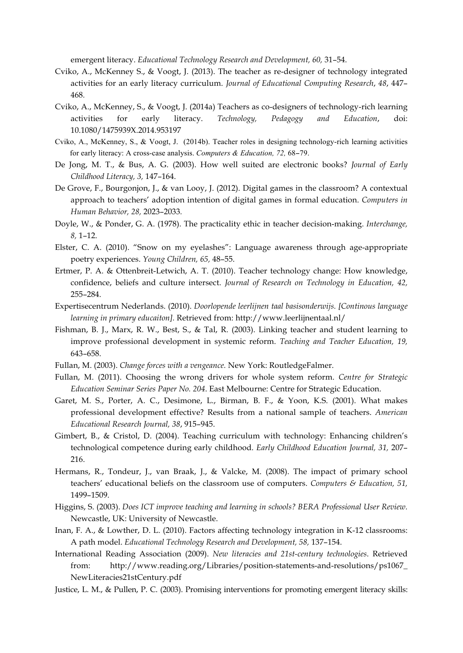emergent literacy. *Educational Technology Research and Development, 60,* 31–54.

- Cviko, A., McKenney S., & Voogt, J. (2013). The teacher as re-designer of technology integrated activities for an early literacy curriculum. *Journal of Educational Computing Research*, *48*, 447– 468*.*
- Cviko, A., McKenney, S., & Voogt, J. (2014a) Teachers as co-designers of technology-rich learning activities for early literacy. *Technology, Pedagogy and Education*, doi: 10.1080/1475939X.2014.953197
- Cviko, A., McKenney, S., & Voogt, J. (2014b). Teacher roles in designing technology-rich learning activities for early literacy: A cross-case analysis. *Computers & Education, 72,* 68–79.
- De Jong, M. T., & Bus, A. G. (2003). How well suited are electronic books? *Journal of Early Childhood Literacy, 3,* 147–164.
- De Grove, F., Bourgonjon, J., & van Looy, J. (2012). Digital games in the classroom? A contextual approach to teachers' adoption intention of digital games in formal education. *Computers in Human Behavior, 28,* 2023–2033*.*
- Doyle, W., & Ponder, G. A. (1978). The practicality ethic in teacher decision-making. *Interchange, 8,* 1–12.
- Elster, C. A. (2010). "Snow on my eyelashes": Language awareness through age-appropriate poetry experiences. *Young Children, 65,* 48–55.
- Ertmer, P. A. & Ottenbreit-Letwich, A. T. (2010). Teacher technology change: How knowledge, confidence, beliefs and culture intersect. *Journal of Research on Technology in Education, 42,*  255–284.
- Expertisecentrum Nederlands. (2010). *Doorlopende leerlijnen taal basisonderwijs. [Continous language learning in primary educaiton].* Retrieved from: http://www.leerlijnentaal.nl/
- Fishman, B. J., Marx, R. W., Best, S., & Tal, R. (2003). Linking teacher and student learning to improve professional development in systemic reform. *Teaching and Teacher Education, 19,* 643–658.
- Fullan, M. (2003). *Change forces with a vengeance.* New York: RoutledgeFalmer.
- Fullan, M. (2011). Choosing the wrong drivers for whole system reform. *Centre for Strategic Education Seminar Series Paper No. 204*. East Melbourne: Centre for Strategic Education.
- Garet, M. S., Porter, A. C., Desimone, L., Birman, B. F., & Yoon, K.S. (2001). What makes professional development effective? Results from a national sample of teachers. *American Educational Research Journal, 38*, 915–945.
- Gimbert, B., & Cristol, D. (2004). Teaching curriculum with technology: Enhancing children's technological competence during early childhood. *Early Childhood Education Journal, 31,* 207– 216.
- Hermans, R., Tondeur, J., van Braak, J., & Valcke, M. (2008). The impact of primary school teachers' educational beliefs on the classroom use of computers. *Computers & Education, 51,* 1499–1509.
- Higgins, S. (2003). *Does ICT improve teaching and learning in schools? BERA Professional User Review.*  Newcastle, UK: University of Newcastle.
- Inan, F. A., & Lowther, D. L. (2010). Factors affecting technology integration in K-12 classrooms: A path model. *Educational Technology Research and Development, 58,* 137–154.
- International Reading Association (2009). *New literacies and 21st-century technologies*. Retrieved from: http://www.reading.org/Libraries/position-statements-and-resolutions/ps1067\_ NewLiteracies21stCentury.pdf
- Justice, L. M., & Pullen, P. C. (2003). Promising interventions for promoting emergent literacy skills: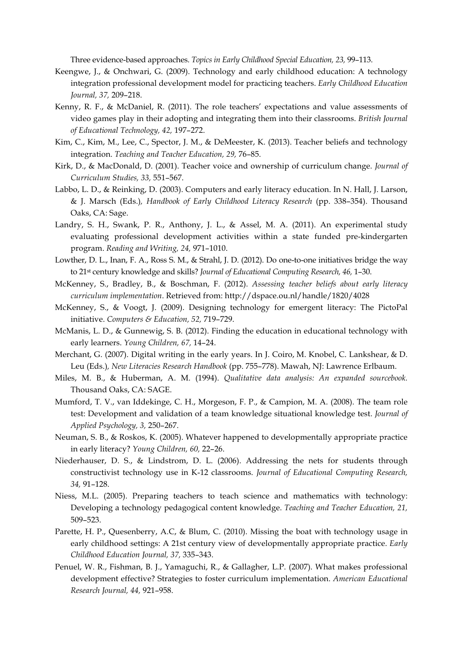Three evidence-based approaches. *Topics in Early Childhood Special Education, 23,* 99–113.

- Keengwe, J., & Onchwari, G. (2009). Technology and early childhood education: A technology integration professional development model for practicing teachers. *Early Childhood Education Journal, 37,* 209–218.
- Kenny, R. F., & McDaniel, R. (2011). The role teachers' expectations and value assessments of video games play in their adopting and integrating them into their classrooms. *British Journal of Educational Technology, 42,* 197–272.
- Kim, C., Kim, M., Lee, C., Spector, J. M., & DeMeester, K. (2013). Teacher beliefs and technology integration. *Teaching and Teacher Education, 29,* 76–85.
- Kirk, D., & MacDonald, D. (2001). Teacher voice and ownership of curriculum change. *Journal of Curriculum Studies, 33,* 551–567.
- Labbo, L. D., & Reinking, D. (2003). Computers and early literacy education. In N. Hall, J. Larson, & J. Marsch (Eds.)*, Handbook of Early Childhood Literacy Research* (pp. 338–354). Thousand Oaks, CA: Sage.
- Landry, S. H., Swank, P. R., Anthony, J. L., & Assel, M. A. (2011). An experimental study evaluating professional development activities within a state funded pre-kindergarten program. *Reading and Writing, 24,* 971–1010.
- Lowther, D. L., Inan, F. A., Ross S. M., & Strahl, J. D. (2012). Do one-to-one initiatives bridge the way to 21st century knowledge and skills? *Journal of Educational Computing Research, 46,* 1–30.
- McKenney, S., Bradley, B., & Boschman, F. (2012). *Assessing teacher beliefs about early literacy curriculum implementation*. Retrieved from: http://dspace.ou.nl/handle/1820/4028
- McKenney, S., & Voogt, J. (2009). Designing technology for emergent literacy: The PictoPal initiative. *Computers & Education, 52,* 719–729.
- McManis, L. D., & Gunnewig, S. B. (2012). Finding the education in educational technology with early learners. *Young Children, 67,* 14–24.
- Merchant, G. (2007). Digital writing in the early years. In J. Coiro, M. Knobel, C. Lankshear, & D. Leu (Eds.)*, New Literacies Research Handbook* (pp. 755–778). Mawah, NJ: Lawrence Erlbaum.
- Miles, M. B., & Huberman, A. M. (1994). *Qualitative data analysis: An expanded sourcebook.* Thousand Oaks, CA: SAGE.
- Mumford, T. V., van Iddekinge, C. H., Morgeson, F. P., & Campion, M. A. (2008). The team role test: Development and validation of a team knowledge situational knowledge test. *Journal of Applied Psychology, 3,* 250–267.
- Neuman, S. B., & Roskos, K. (2005). Whatever happened to developmentally appropriate practice in early literacy? *Young Children, 60,* 22–26.
- Niederhauser, D. S., & Lindstrom, D. L. (2006). Addressing the nets for students through constructivist technology use in K-12 classrooms. *Journal of Educational Computing Research, 34,* 91–128.
- Niess, M.L. (2005). Preparing teachers to teach science and mathematics with technology: Developing a technology pedagogical content knowledge. *Teaching and Teacher Education, 21,* 509–523.
- Parette, H. P., Quesenberry, A.C, & Blum, C. (2010). Missing the boat with technology usage in early childhood settings: A 21st century view of developmentally appropriate practice. *Early Childhood Education Journal, 37,* 335–343.
- Penuel, W. R., Fishman, B. J., Yamaguchi, R., & Gallagher, L.P. (2007). What makes professional development effective? Strategies to foster curriculum implementation. *American Educational Research Journal, 44,* 921–958.